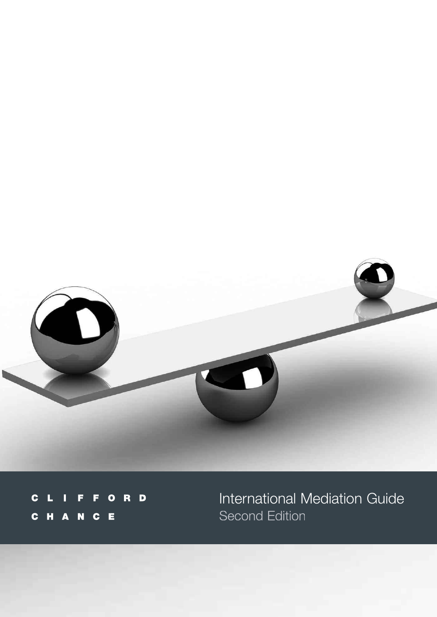

 $\blacksquare$ F  $\mathbf c$ F  $\bullet$ R П Π C H A N C E

International Mediation Guide<br>Second Edition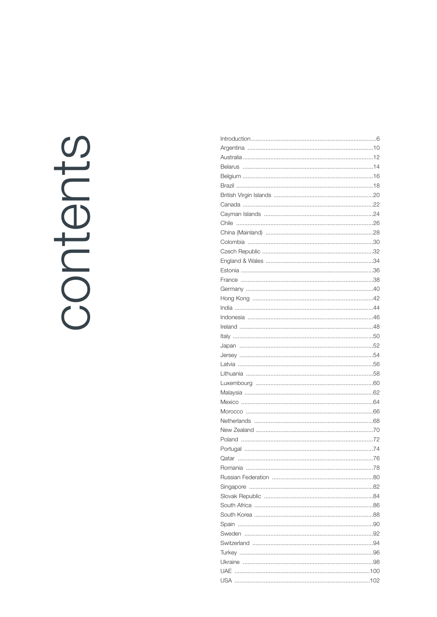# contents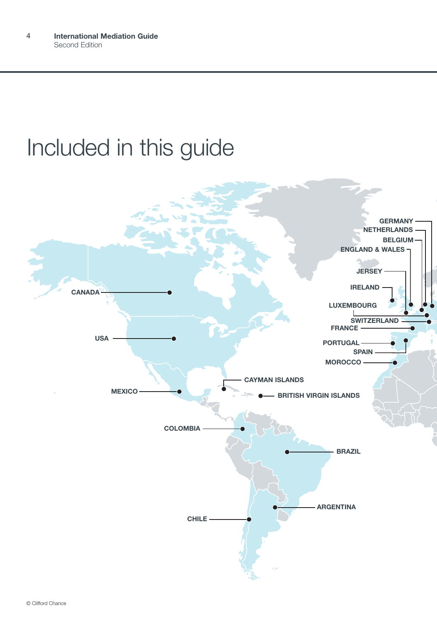# Included in this guide

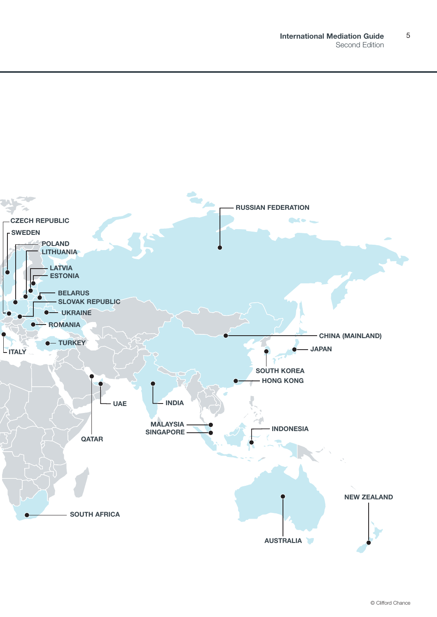5

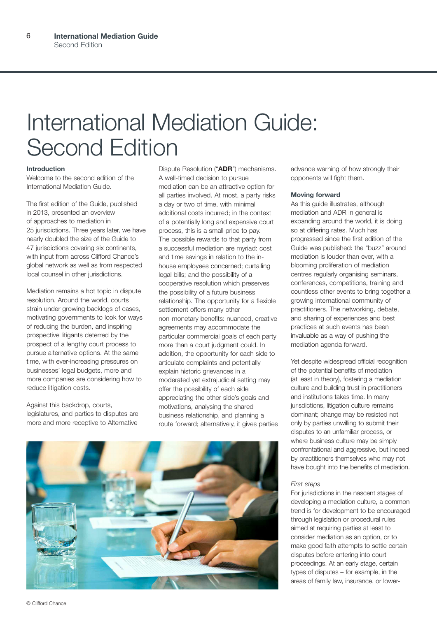# International Mediation Guide: Second Edition

### **Introduction**

Welcome to the second edition of the International Mediation Guide.

The first edition of the Guide, published in 2013, presented an overview of approaches to mediation in 25 jurisdictions. Three years later, we have nearly doubled the size of the Guide to 47 jurisdictions covering six continents, with input from across Clifford Chance's global network as well as from respected local counsel in other jurisdictions.

Mediation remains a hot topic in dispute resolution. Around the world, courts strain under growing backlogs of cases. motivating governments to look for ways of reducing the burden, and inspiring prospective litigants deterred by the prospect of a lengthy court process to pursue alternative options. At the same time, with ever-increasing pressures on businesses' legal budgets, more and more companies are considering how to reduce litigation costs.

Against this backdrop, courts, legislatures, and parties to disputes are more and more receptive to Alternative Dispute Resolution ("**ADR**") mechanisms. A well-timed decision to pursue mediation can be an attractive option for all parties involved. At most, a party risks a day or two of time, with minimal additional costs incurred; in the context of a potentially long and expensive court process, this is a small price to pay. The possible rewards to that party from a successful mediation are myriad: cost and time savings in relation to the inhouse employees concerned; curtailing legal bills; and the possibility of a cooperative resolution which preserves the possibility of a future business relationship. The opportunity for a flexible settlement offers many other non-monetary benefits: nuanced, creative agreements may accommodate the particular commercial goals of each party more than a court judgment could. In addition, the opportunity for each side to articulate complaints and potentially explain historic grievances in a moderated yet extrajudicial setting may offer the possibility of each side appreciating the other side's goals and motivations, analysing the shared business relationship, and planning a route forward; alternatively, it gives parties



advance warning of how strongly their opponents will fight them.

### **Moving forward**

As this guide illustrates, although mediation and ADR in general is expanding around the world, it is doing so at differing rates. Much has progressed since the first edition of the Guide was published: the "buzz" around mediation is louder than ever, with a blooming proliferation of mediation centres regularly organising seminars, conferences, competitions, training and countless other events to bring together a growing international community of practitioners. The networking, debate, and sharing of experiences and best practices at such events has been invaluable as a way of pushing the mediation agenda forward.

Yet despite widespread official recognition of the potential benefits of mediation (at least in theory), fostering a mediation culture and building trust in practitioners and institutions takes time. In many jurisdictions, litigation culture remains dominant; change may be resisted not only by parties unwilling to submit their disputes to an unfamiliar process, or where business culture may be simply confrontational and aggressive, but indeed by practitioners themselves who may not have bought into the benefits of mediation.

### *First steps*

For jurisdictions in the nascent stages of developing a mediation culture, a common trend is for development to be encouraged through legislation or procedural rules aimed at requiring parties at least to consider mediation as an option, or to make good faith attempts to settle certain disputes before entering into court proceedings. At an early stage, certain types of disputes – for example, in the areas of family law, insurance, or lower-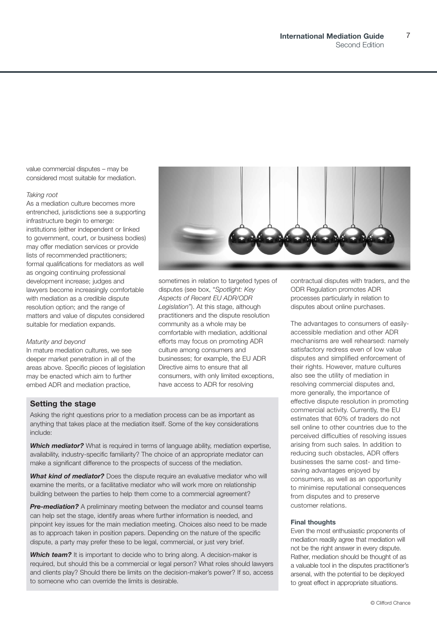7

value commercial disputes – may be considered most suitable for mediation.

### *Taking root*

As a mediation culture becomes more entrenched, jurisdictions see a supporting infrastructure begin to emerge: institutions (either independent or linked to government, court, or business bodies) may offer mediation services or provide lists of recommended practitioners; formal qualifications for mediators as well as ongoing continuing professional development increase; judges and lawyers become increasingly comfortable with mediation as a credible dispute resolution option; and the range of matters and value of disputes considered suitable for mediation expands.

### *Maturity and beyond*

In mature mediation cultures, we see deeper market penetration in all of the areas above. Specific pieces of legislation may be enacted which aim to further embed ADR and mediation practice,

sometimes in relation to targeted types of disputes (see box, "*Spotlight: Key Aspects of Recent EU ADR/ODR Legislation*"). At this stage, although practitioners and the dispute resolution community as a whole may be comfortable with mediation, additional efforts may focus on promoting ADR culture among consumers and businesses; for example, the EU ADR Directive aims to ensure that all consumers, with only limited exceptions, have access to ADR for resolving

### **Setting the stage**

Asking the right questions prior to a mediation process can be as important as anything that takes place at the mediation itself. Some of the key considerations include:

**Which mediator?** What is required in terms of language ability, mediation expertise, availability, industry-specific familiarity? The choice of an appropriate mediator can make a significant difference to the prospects of success of the mediation.

*What kind of mediator?* Does the dispute require an evaluative mediator who will examine the merits, or a facilitative mediator who will work more on relationship building between the parties to help them come to a commercial agreement?

**Pre-mediation?** A preliminary meeting between the mediator and counsel teams can help set the stage, identify areas where further information is needed, and pinpoint key issues for the main mediation meeting. Choices also need to be made as to approach taken in position papers. Depending on the nature of the specific dispute, a party may prefer these to be legal, commercial, or just very brief.

**Which team?** It is important to decide who to bring along. A decision-maker is required, but should this be a commercial or legal person? What roles should lawyers and clients play? Should there be limits on the decision-maker's power? If so, access to someone who can override the limits is desirable.

contractual disputes with traders, and the ODR Regulation promotes ADR processes particularly in relation to disputes about online purchases.

The advantages to consumers of easilyaccessible mediation and other ADR mechanisms are well rehearsed: namely satisfactory redress even of low value disputes and simplified enforcement of their rights. However, mature cultures also see the utility of mediation in resolving commercial disputes and, more generally, the importance of effective dispute resolution in promoting commercial activity. Currently, the EU estimates that 60% of traders do not sell online to other countries due to the perceived difficulties of resolving issues arising from such sales. In addition to reducing such obstacles, ADR offers businesses the same cost- and timesaving advantages enjoyed by consumers, as well as an opportunity to minimise reputational consequences from disputes and to preserve customer relations.

### **Final thoughts**

Even the most enthusiastic proponents of mediation readily agree that mediation will not be the right answer in every dispute. Rather, mediation should be thought of as a valuable tool in the disputes practitioner's arsenal, with the potential to be deployed to great effect in appropriate situations.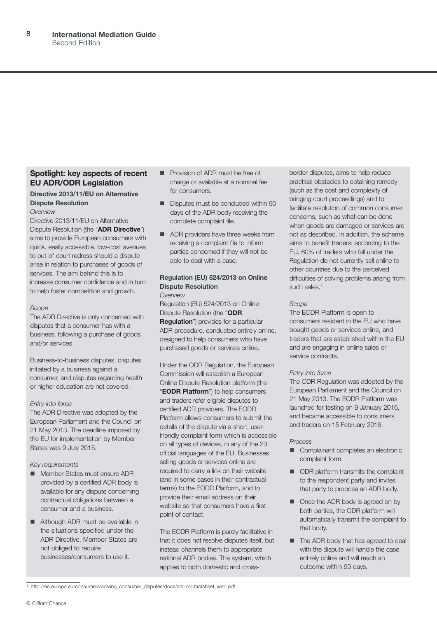### **Spotlight: key aspects of recent EU ADR/ODR Legislation**

### **Directive 2013/11/EU on Alternative Dispute Resolution** *Overview*

Directive 2013/11/EU on Alternative Dispute Resolution (the "**ADR Directive**") aims to provide European consumers with quick, easily accessible, low-cost avenues to out-of-court redress should a dispute arise in relation to purchases of goods of services. The aim behind this is to increase consumer confidence and in turn to help foster competition and growth.

### *Scope*

The ADR Directive is only concerned with disputes that a consumer has with a business, following a purchase of goods and/or services.

Business-to-business disputes, disputes initiated by a business against a consumer, and disputes regarding health or higher education are not covered.

### *Entry into force*

The ADR Directive was adopted by the European Parliament and the Council on 21 May 2013. The deadline imposed by the EU for implementation by Member States was 9 July 2015.

### *Key requirements*

- Member States must ensure ADR provided by a certified ADR body is available for any dispute concerning contractual obligations between a consumer and a business.
- Although ADR must be available in the situations specified under the ADR Directive, Member States are not obliged to require businesses/consumers to use it.
- **n** Provision of ADR must be free of charge or available at a nominal fee for consumers.
- Disputes must be concluded within 90 days of the ADR body receiving the complete complaint file.
- **n** ADR providers have three weeks from receiving a complaint file to inform parties concerned if they will not be able to deal with a case.

### **Regulation (EU) 524/2013 on Online Dispute Resolution**

### *Overview*

Regulation (EU) 524/2013 on Online Dispute Resolution (the "**ODR Regulation**") provides for a particular ADR procedure, conducted entirely online, designed to help consumers who have purchased goods or services online.

Under the ODR Regulation, the European Commission will establish a European Online Dispute Resolution platform (the "**EODR Platform**") to help consumers and traders refer eligible disputes to certified ADR providers. The EODR Platform allows consumers to submit the details of the dispute via a short, userfriendly complaint form which is accessible on all types of devices, in any of the 23 official languages of the EU. Businesses selling goods or services online are required to carry a link on their website (and in some cases in their contractual terms) to the EODR Platform, and to provide their email address on their website so that consumers have a first point of contact.

The EODR Platform is purely facilitative in that it does not resolve disputes itself, but instead channels them to appropriate national ADR bodies. The system, which applies to both domestic and cross-

border disputes, aims to help reduce practical obstacles to obtaining remedy (such as the cost and complexity of bringing court proceedings) and to facilitate resolution of common consumer concerns, such as what can be done when goods are damaged or services are not as described. In addition, the scheme aims to benefit traders: according to the EU, 60% of traders who fall under the Regulation do not currently sell online to other countries due to the perceived difficulties of solving problems arising from such sales.<sup>1</sup>

### *Scope*

The EODR Platform is open to consumers resident in the EU who have bought goods or services online, and traders that are established within the EU and are engaging in online sales or service contracts.

### *Entry into force*

The ODR Regulation was adopted by the European Parliament and the Council on 21 May 2013. The EODR Platform was launched for testing on 9 January 2016, and became accessible to consumers and traders on 15 February 2016.

### *Process*

- Complainant completes an electronic complaint form.
- **n** ODR platform transmits the complaint to the respondent party and invites that party to propose an ADR body.
- Once the ADR body is agreed on by both parties, the ODR platform will automatically transmit the complaint to that body.
- The ADR body that has agreed to deal with the dispute will handle the case entirely online and will reach an outcome within 90 days.

1 http://ec.europa.eu/consumers/solving\_consumer\_disputes/docs/adr-odr.factsheet\_web.pdf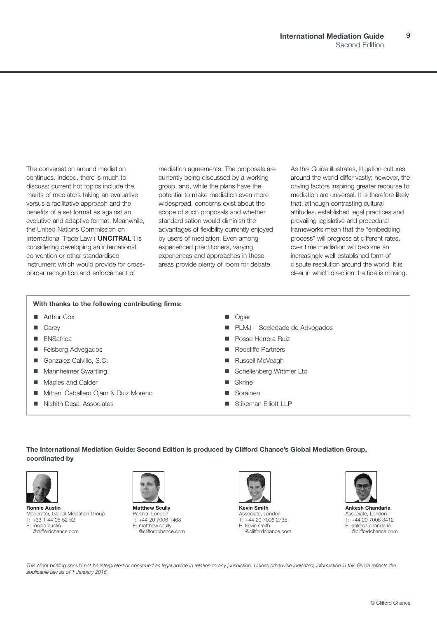9

The conversation around mediation continues. Indeed, there is much to discuss: current hot topics include the merits of mediators taking an evaluative versus a facilitative approach and the benefits of a set format as against an evolutive and adaptive format. Meanwhile, the United Nations Commission on International Trade Law ("**UNCITRAL**") is considering developing an international convention or other standardised instrument which would provide for crossborder recognition and enforcement of

mediation agreements. The proposals are currently being discussed by a working group, and, while the plans have the potential to make mediation even more widespread, concerns exist about the scope of such proposals and whether standardisation would diminish the advantages of flexibility currently enjoyed by users of mediation. Even among experienced practitioners, varying experiences and approaches in these areas provide plenty of room for debate.

As this Guide illustrates, litigation cultures around the world differ vastly; however, the driving factors inspiring greater recourse to mediation are universal. It is therefore likely that, although contrasting cultural attitudes, established legal practices and prevailing legislative and procedural frameworks mean that the "embedding process" will progress at different rates, over time mediation will become an increasingly well-established form of dispute resolution around the world. It is clear in which direction the tide is moving.

### **With thanks to the following contributing firms:**

- **n** Arthur Cox
- **n** Carev
- **n** ENSafrica
- **Felsberg Advogados**
- **n** Gonzalez Calvillo, S.C.
- **n** Mannheimer Swartling
- Maples and Calder
- Mitrani Caballero Ojam & Ruiz Moreno
- Nishith Desai Associates
- Ogier
- PLMJ Sociedade de Advogados
- Posse Herrera Ruiz
- Redcliffe Partners
- Russell McVeagh
- Schellenberg Wittmer Ltd
- $\blacksquare$  Skrine
- Sorainen
- Stikeman Elliott LLP

**The International Mediation Guide: Second Edition is produced by Clifford Chance's Global Mediation Group, coordinated by**



**Ronnie Austin** Moderator, Global Mediation Group T: +33 1 44 05 52 52 E: ronald.austin @cliffordchance.com



**Matthew Scully** Partner, London T: +44 20 7006 1468 E: matthew.scully @cliffordchance.com



**Kevin Smith** Associate, London T: +44 20 7006 2735 E: kevin.smith @cliffordchance.com



**Ankesh Chandaria** Associate, London T: +44 20 7006 3412 E: ankesh.chandaria @cliffordchance.com

This client briefing should not be interpreted or construed as legal advice in relation to any jurisdiction. Unless otherwise indicated, information in this Guide reflects the *applicable law as of 1 January 2016.*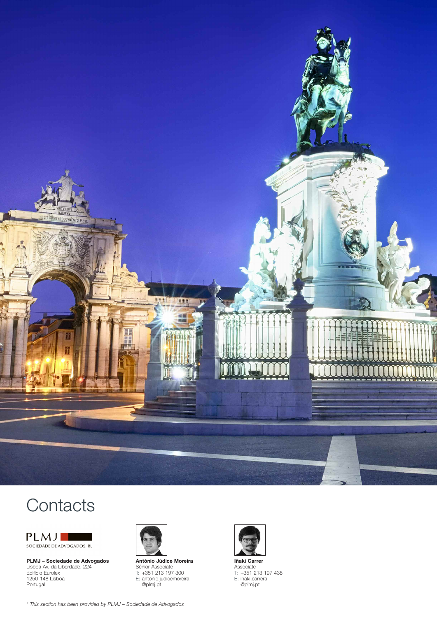

# **Contacts**



**PLMJ – Sociedade de Advogados** Lisboa Av. da Liberdade, 224 Edifício Eurolex 1250-148 Lisboa Portugal



**António Júdice Moreira** Sénior Associate T: +351 213 197 300 E: antonio.judicemoreira @plmj.pt



**Iñaki Carrer** Associate T: +351 213 197 438 E: inaki.carrera @plmj.pt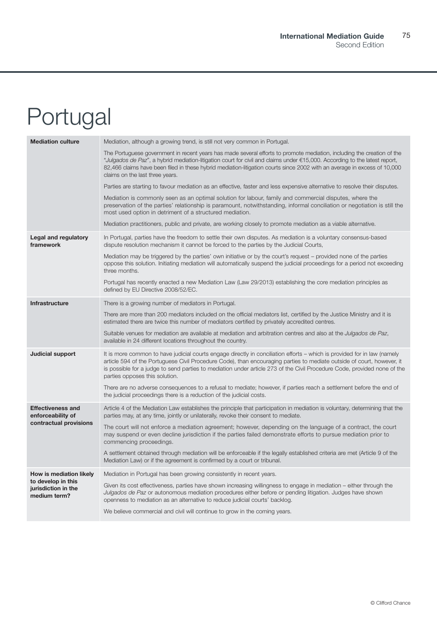# <span id="page-9-0"></span>Portugal

| <b>Mediation culture</b>                                                             | Mediation, although a growing trend, is still not very common in Portugal.                                                                                                                                                                                                                                                                                                                                          |
|--------------------------------------------------------------------------------------|---------------------------------------------------------------------------------------------------------------------------------------------------------------------------------------------------------------------------------------------------------------------------------------------------------------------------------------------------------------------------------------------------------------------|
|                                                                                      | The Portuguese government in recent years has made several efforts to promote mediation, including the creation of the<br>"Julgados de Paz", a hybrid mediation-litigation court for civil and claims under €15,000. According to the latest report,<br>82,466 claims have been filed in these hybrid mediation-litigation courts since 2002 with an average in excess of 10,000<br>claims on the last three years. |
|                                                                                      | Parties are starting to favour mediation as an effective, faster and less expensive alternative to resolve their disputes.                                                                                                                                                                                                                                                                                          |
|                                                                                      | Mediation is commonly seen as an optimal solution for labour, family and commercial disputes, where the<br>preservation of the parties' relationship is paramount, notwithstanding, informal conciliation or negotiation is still the<br>most used option in detriment of a structured mediation.                                                                                                                   |
|                                                                                      | Mediation practitioners, public and private, are working closely to promote mediation as a viable alternative.                                                                                                                                                                                                                                                                                                      |
| Legal and regulatory<br>framework                                                    | In Portugal, parties have the freedom to settle their own disputes. As mediation is a voluntary consensus-based<br>dispute resolution mechanism it cannot be forced to the parties by the Judicial Courts,                                                                                                                                                                                                          |
|                                                                                      | Mediation may be triggered by the parties' own initiative or by the court's request – provided none of the parties<br>oppose this solution. Initiating mediation will automatically suspend the judicial proceedings for a period not exceeding<br>three months.                                                                                                                                                    |
|                                                                                      | Portugal has recently enacted a new Mediation Law (Law 29/2013) establishing the core mediation principles as<br>defined by EU Directive 2008/52/EC.                                                                                                                                                                                                                                                                |
| <b>Infrastructure</b>                                                                | There is a growing number of mediators in Portugal.                                                                                                                                                                                                                                                                                                                                                                 |
|                                                                                      | There are more than 200 mediators included on the official mediators list, certified by the Justice Ministry and it is<br>estimated there are twice this number of mediators certified by privately accredited centres.                                                                                                                                                                                             |
|                                                                                      | Suitable venues for mediation are available at mediation and arbitration centres and also at the <i>Julgados de Paz</i> ,<br>available in 24 different locations throughout the country.                                                                                                                                                                                                                            |
| Judicial support                                                                     | It is more common to have judicial courts engage directly in conciliation efforts – which is provided for in law (namely<br>article 594 of the Portuguese Civil Procedure Code), than encouraging parties to mediate outside of court, however, it<br>is possible for a judge to send parties to mediation under article 273 of the Civil Procedure Code, provided none of the<br>parties opposes this solution.    |
|                                                                                      | There are no adverse consequences to a refusal to mediate; however, if parties reach a settlement before the end of<br>the judicial proceedings there is a reduction of the judicial costs.                                                                                                                                                                                                                         |
| <b>Effectiveness and</b><br>enforceability of                                        | Article 4 of the Mediation Law establishes the principle that participation in mediation is voluntary, determining that the<br>parties may, at any time, jointly or unilaterally, revoke their consent to mediate.                                                                                                                                                                                                  |
| contractual provisions                                                               | The court will not enforce a mediation agreement; however, depending on the language of a contract, the court<br>may suspend or even decline jurisdiction if the parties failed demonstrate efforts to pursue mediation prior to<br>commencing proceedings.                                                                                                                                                         |
|                                                                                      | A settlement obtained through mediation will be enforceable if the legally established criteria are met (Article 9 of the<br>Mediation Law) or if the agreement is confirmed by a court or tribunal.                                                                                                                                                                                                                |
| How is mediation likely<br>to develop in this<br>jurisdiction in the<br>medium term? | Mediation in Portugal has been growing consistently in recent years.                                                                                                                                                                                                                                                                                                                                                |
|                                                                                      | Given its cost effectiveness, parties have shown increasing willingness to engage in mediation – either through the<br>Julgados de Paz or autonomous mediation procedures either before or pending litigation. Judges have shown<br>openness to mediation as an alternative to reduce judicial courts' backlog.                                                                                                     |
|                                                                                      | We believe commercial and civil will continue to grow in the coming years.                                                                                                                                                                                                                                                                                                                                          |